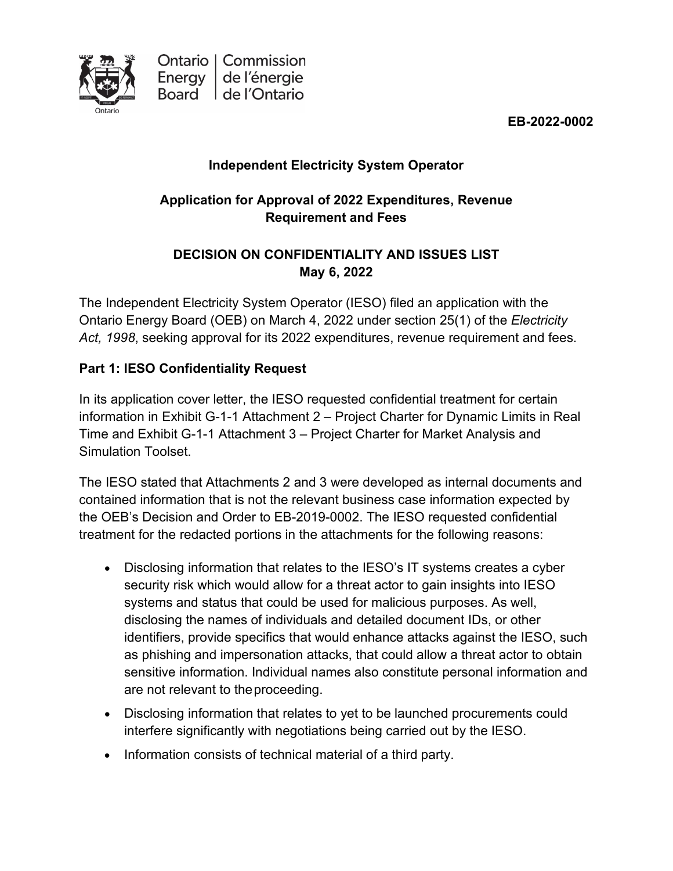

**EB-2022-0002**

## **Independent Electricity System Operator**

### **Application for Approval of 2022 Expenditures, Revenue Requirement and Fees**

## **DECISION ON CONFIDENTIALITY AND ISSUES LIST May 6, 2022**

The Independent Electricity System Operator (IESO) filed an application with the Ontario Energy Board (OEB) on March 4, 2022 under section 25(1) of the *Electricity Act, 1998*, seeking approval for its 2022 expenditures, revenue requirement and fees.

### **Part 1: IESO Confidentiality Request**

In its application cover letter, the IESO requested confidential treatment for certain information in Exhibit G-1-1 Attachment 2 – Project Charter for Dynamic Limits in Real Time and Exhibit G-1-1 Attachment 3 – Project Charter for Market Analysis and Simulation Toolset.

The IESO stated that Attachments 2 and 3 were developed as internal documents and contained information that is not the relevant business case information expected by the OEB's Decision and Order to EB-2019-0002. The IESO requested confidential treatment for the redacted portions in the attachments for the following reasons:

- Disclosing information that relates to the IESO's IT systems creates a cyber security risk which would allow for a threat actor to gain insights into IESO systems and status that could be used for malicious purposes. As well, disclosing the names of individuals and detailed document IDs, or other identifiers, provide specifics that would enhance attacks against the IESO, such as phishing and impersonation attacks, that could allow a threat actor to obtain sensitive information. Individual names also constitute personal information and are not relevant to theproceeding.
- Disclosing information that relates to yet to be launched procurements could interfere significantly with negotiations being carried out by the IESO.
- Information consists of technical material of a third party.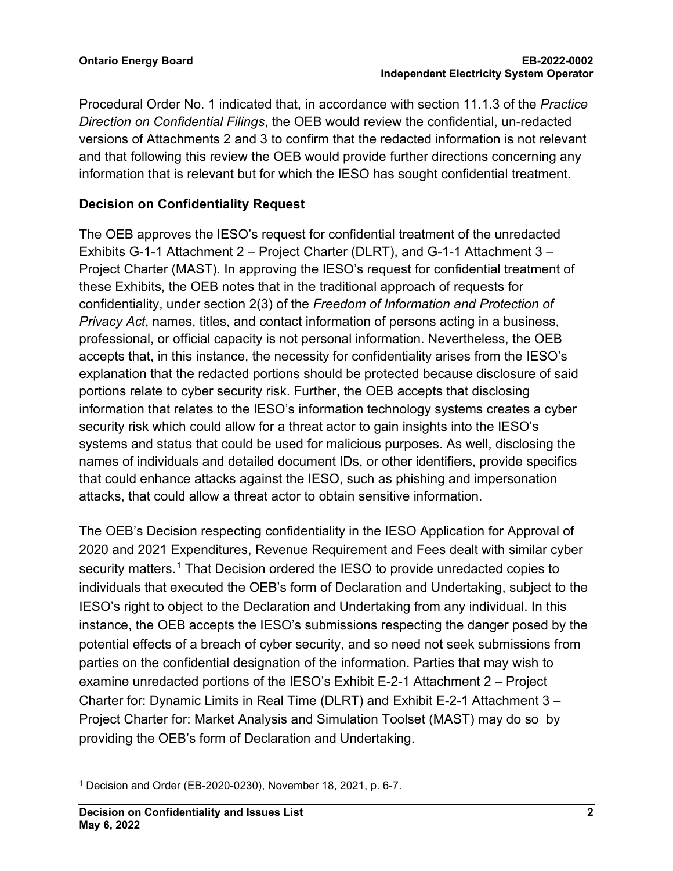Procedural Order No. 1 indicated that, in accordance with section 11.1.3 of the *Practice Direction on Confidential Filings*, the OEB would review the confidential, un-redacted versions of Attachments 2 and 3 to confirm that the redacted information is not relevant and that following this review the OEB would provide further directions concerning any information that is relevant but for which the IESO has sought confidential treatment.

#### **Decision on Confidentiality Request**

The OEB approves the IESO's request for confidential treatment of the unredacted Exhibits G-1-1 Attachment 2 – Project Charter (DLRT), and G-1-1 Attachment 3 – Project Charter (MAST). In approving the IESO's request for confidential treatment of these Exhibits, the OEB notes that in the traditional approach of requests for confidentiality, under section 2(3) of the *Freedom of Information and Protection of Privacy Act*, names, titles, and contact information of persons acting in a business, professional, or official capacity is not personal information. Nevertheless, the OEB accepts that, in this instance, the necessity for confidentiality arises from the IESO's explanation that the redacted portions should be protected because disclosure of said portions relate to cyber security risk. Further, the OEB accepts that disclosing information that relates to the IESO's information technology systems creates a cyber security risk which could allow for a threat actor to gain insights into the IESO's systems and status that could be used for malicious purposes. As well, disclosing the names of individuals and detailed document IDs, or other identifiers, provide specifics that could enhance attacks against the IESO, such as phishing and impersonation attacks, that could allow a threat actor to obtain sensitive information.

The OEB's Decision respecting confidentiality in the IESO Application for Approval of 2020 and 2021 Expenditures, Revenue Requirement and Fees dealt with similar cyber security matters.<sup>[1](#page-1-0)</sup> That Decision ordered the IESO to provide unredacted copies to individuals that executed the OEB's form of Declaration and Undertaking, subject to the IESO's right to object to the Declaration and Undertaking from any individual. In this instance, the OEB accepts the IESO's submissions respecting the danger posed by the potential effects of a breach of cyber security, and so need not seek submissions from parties on the confidential designation of the information. Parties that may wish to examine unredacted portions of the IESO's Exhibit E-2-1 Attachment 2 – Project Charter for: Dynamic Limits in Real Time (DLRT) and Exhibit E-2-1 Attachment 3 – Project Charter for: Market Analysis and Simulation Toolset (MAST) may do so by providing the OEB's form of Declaration and Undertaking.

<span id="page-1-0"></span><sup>1</sup> Decision and Order (EB-2020-0230), November 18, 2021, p. 6-7.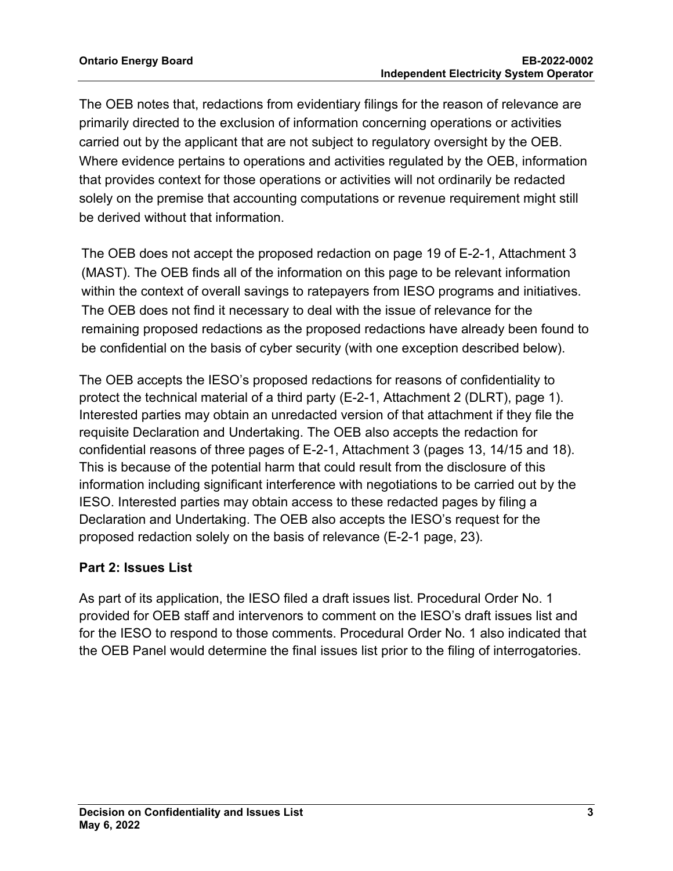The OEB notes that, redactions from evidentiary filings for the reason of relevance are primarily directed to the exclusion of information concerning operations or activities carried out by the applicant that are not subject to regulatory oversight by the OEB. Where evidence pertains to operations and activities regulated by the OEB, information that provides context for those operations or activities will not ordinarily be redacted solely on the premise that accounting computations or revenue requirement might still be derived without that information.

The OEB does not accept the proposed redaction on page 19 of E-2-1, Attachment 3 (MAST). The OEB finds all of the information on this page to be relevant information within the context of overall savings to ratepayers from IESO programs and initiatives. The OEB does not find it necessary to deal with the issue of relevance for the remaining proposed redactions as the proposed redactions have already been found to be confidential on the basis of cyber security (with one exception described below).

The OEB accepts the IESO's proposed redactions for reasons of confidentiality to protect the technical material of a third party (E-2-1, Attachment 2 (DLRT), page 1). Interested parties may obtain an unredacted version of that attachment if they file the requisite Declaration and Undertaking. The OEB also accepts the redaction for confidential reasons of three pages of E-2-1, Attachment 3 (pages 13, 14/15 and 18). This is because of the potential harm that could result from the disclosure of this information including significant interference with negotiations to be carried out by the IESO. Interested parties may obtain access to these redacted pages by filing a Declaration and Undertaking. The OEB also accepts the IESO's request for the proposed redaction solely on the basis of relevance (E-2-1 page, 23).

#### **Part 2: Issues List**

As part of its application, the IESO filed a draft issues list. Procedural Order No. 1 provided for OEB staff and intervenors to comment on the IESO's draft issues list and for the IESO to respond to those comments. Procedural Order No. 1 also indicated that the OEB Panel would determine the final issues list prior to the filing of interrogatories.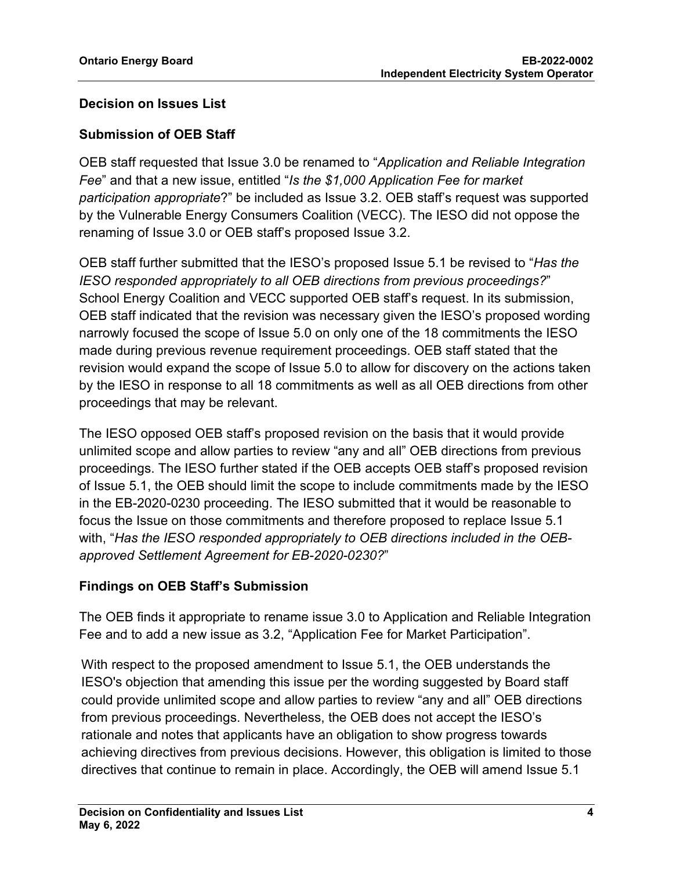#### **Decision on Issues List**

#### **Submission of OEB Staff**

OEB staff requested that Issue 3.0 be renamed to "*Application and Reliable Integration Fee*" and that a new issue, entitled "*Is the \$1,000 Application Fee for market participation appropriate*?" be included as Issue 3.2. OEB staff's request was supported by the Vulnerable Energy Consumers Coalition (VECC). The IESO did not oppose the renaming of Issue 3.0 or OEB staff's proposed Issue 3.2.

OEB staff further submitted that the IESO's proposed Issue 5.1 be revised to "*Has the IESO responded appropriately to all OEB directions from previous proceedings?*" School Energy Coalition and VECC supported OEB staff's request. In its submission, OEB staff indicated that the revision was necessary given the IESO's proposed wording narrowly focused the scope of Issue 5.0 on only one of the 18 commitments the IESO made during previous revenue requirement proceedings. OEB staff stated that the revision would expand the scope of Issue 5.0 to allow for discovery on the actions taken by the IESO in response to all 18 commitments as well as all OEB directions from other proceedings that may be relevant.

The IESO opposed OEB staff's proposed revision on the basis that it would provide unlimited scope and allow parties to review "any and all" OEB directions from previous proceedings. The IESO further stated if the OEB accepts OEB staff's proposed revision of Issue 5.1, the OEB should limit the scope to include commitments made by the IESO in the EB-2020-0230 proceeding. The IESO submitted that it would be reasonable to focus the Issue on those commitments and therefore proposed to replace Issue 5.1 with, "*Has the IESO responded appropriately to OEB directions included in the OEBapproved Settlement Agreement for EB-2020-0230?*"

#### **Findings on OEB Staff's Submission**

The OEB finds it appropriate to rename issue 3.0 to Application and Reliable Integration Fee and to add a new issue as 3.2, "Application Fee for Market Participation".

With respect to the proposed amendment to Issue 5.1, the OEB understands the IESO's objection that amending this issue per the wording suggested by Board staff could provide unlimited scope and allow parties to review "any and all" OEB directions from previous proceedings. Nevertheless, the OEB does not accept the IESO's rationale and notes that applicants have an obligation to show progress towards achieving directives from previous decisions. However, this obligation is limited to those directives that continue to remain in place. Accordingly, the OEB will amend Issue 5.1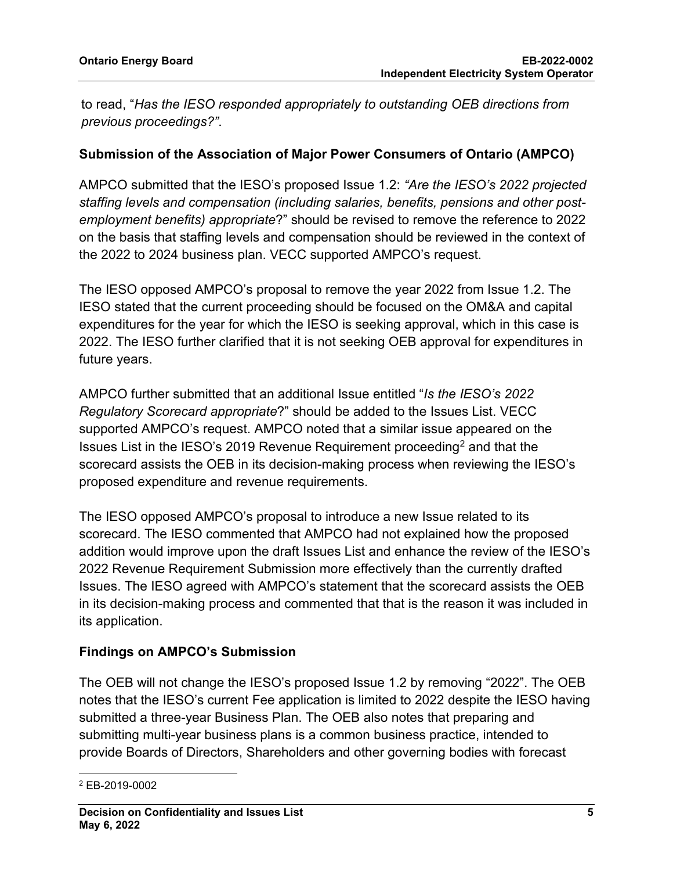to read, "*Has the IESO responded appropriately to outstanding OEB directions from previous proceedings?"*.

#### **Submission of the Association of Major Power Consumers of Ontario (AMPCO)**

AMPCO submitted that the IESO's proposed Issue 1.2: *"Are the IESO's 2022 projected staffing levels and compensation (including salaries, benefits, pensions and other postemployment benefits) appropriate*?" should be revised to remove the reference to 2022 on the basis that staffing levels and compensation should be reviewed in the context of the 2022 to 2024 business plan. VECC supported AMPCO's request.

The IESO opposed AMPCO's proposal to remove the year 2022 from Issue 1.2. The IESO stated that the current proceeding should be focused on the OM&A and capital expenditures for the year for which the IESO is seeking approval, which in this case is 2022. The IESO further clarified that it is not seeking OEB approval for expenditures in future years.

AMPCO further submitted that an additional Issue entitled "*Is the IESO's 2022 Regulatory Scorecard appropriate*?" should be added to the Issues List. VECC supported AMPCO's request. AMPCO noted that a similar issue appeared on the Issues List in the IESO's 2019 Revenue Requirement proceeding[2](#page-4-0) and that the scorecard assists the OEB in its decision-making process when reviewing the IESO's proposed expenditure and revenue requirements.

The IESO opposed AMPCO's proposal to introduce a new Issue related to its scorecard. The IESO commented that AMPCO had not explained how the proposed addition would improve upon the draft Issues List and enhance the review of the IESO's 2022 Revenue Requirement Submission more effectively than the currently drafted Issues. The IESO agreed with AMPCO's statement that the scorecard assists the OEB in its decision-making process and commented that that is the reason it was included in its application.

#### **Findings on AMPCO's Submission**

The OEB will not change the IESO's proposed Issue 1.2 by removing "2022". The OEB notes that the IESO's current Fee application is limited to 2022 despite the IESO having submitted a three-year Business Plan. The OEB also notes that preparing and submitting multi-year business plans is a common business practice, intended to provide Boards of Directors, Shareholders and other governing bodies with forecast

<span id="page-4-0"></span><sup>2</sup> EB-2019-0002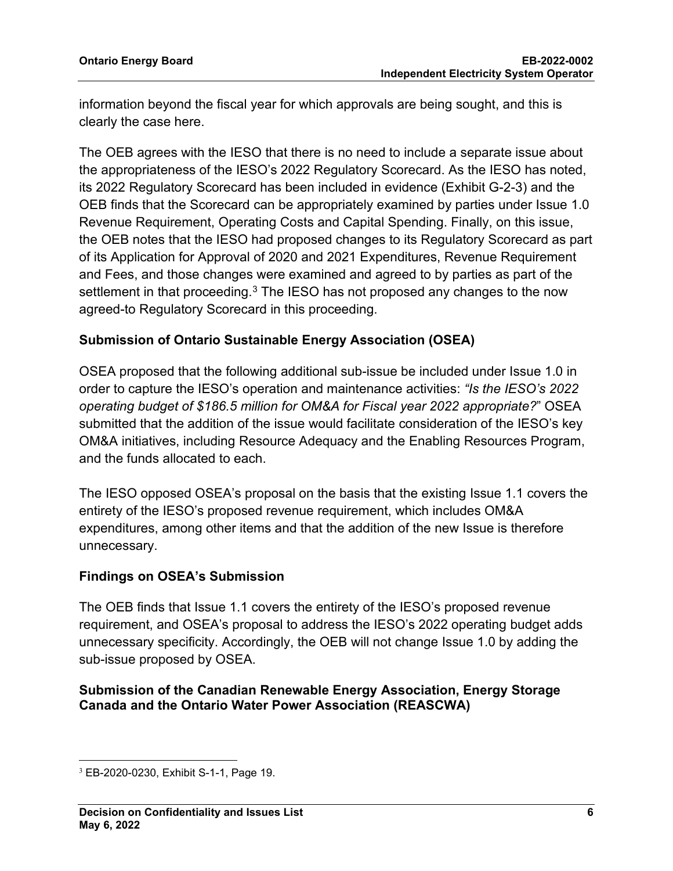information beyond the fiscal year for which approvals are being sought, and this is clearly the case here.

The OEB agrees with the IESO that there is no need to include a separate issue about the appropriateness of the IESO's 2022 Regulatory Scorecard. As the IESO has noted, its 2022 Regulatory Scorecard has been included in evidence (Exhibit G-2-3) and the OEB finds that the Scorecard can be appropriately examined by parties under Issue 1.0 Revenue Requirement, Operating Costs and Capital Spending. Finally, on this issue, the OEB notes that the IESO had proposed changes to its Regulatory Scorecard as part of its Application for Approval of 2020 and 2021 Expenditures, Revenue Requirement and Fees, and those changes were examined and agreed to by parties as part of the settlement in that proceeding. $3$  The IESO has not proposed any changes to the now agreed-to Regulatory Scorecard in this proceeding.

#### **Submission of Ontario Sustainable Energy Association (OSEA)**

OSEA proposed that the following additional sub-issue be included under Issue 1.0 in order to capture the IESO's operation and maintenance activities: *"Is the IESO's 2022 operating budget of \$186.5 million for OM&A for Fiscal year 2022 appropriate?*" OSEA submitted that the addition of the issue would facilitate consideration of the IESO's key OM&A initiatives, including Resource Adequacy and the Enabling Resources Program, and the funds allocated to each.

The IESO opposed OSEA's proposal on the basis that the existing Issue 1.1 covers the entirety of the IESO's proposed revenue requirement, which includes OM&A expenditures, among other items and that the addition of the new Issue is therefore unnecessary.

#### **Findings on OSEA's Submission**

The OEB finds that Issue 1.1 covers the entirety of the IESO's proposed revenue requirement, and OSEA's proposal to address the IESO's 2022 operating budget adds unnecessary specificity. Accordingly, the OEB will not change Issue 1.0 by adding the sub-issue proposed by OSEA.

#### **Submission of the Canadian Renewable Energy Association, Energy Storage Canada and the Ontario Water Power Association (REASCWA)**

<span id="page-5-0"></span><sup>3</sup> EB-2020-0230, Exhibit S-1-1, Page 19.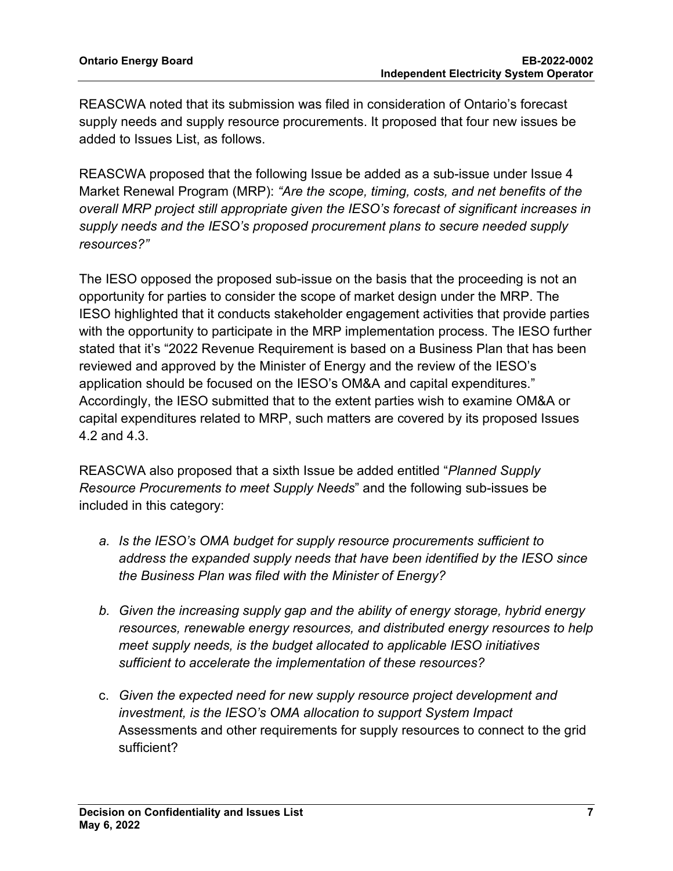REASCWA noted that its submission was filed in consideration of Ontario's forecast supply needs and supply resource procurements. It proposed that four new issues be added to Issues List, as follows.

REASCWA proposed that the following Issue be added as a sub-issue under Issue 4 Market Renewal Program (MRP): *"Are the scope, timing, costs, and net benefits of the overall MRP project still appropriate given the IESO's forecast of significant increases in supply needs and the IESO's proposed procurement plans to secure needed supply resources?"*

The IESO opposed the proposed sub-issue on the basis that the proceeding is not an opportunity for parties to consider the scope of market design under the MRP. The IESO highlighted that it conducts stakeholder engagement activities that provide parties with the opportunity to participate in the MRP implementation process. The IESO further stated that it's "2022 Revenue Requirement is based on a Business Plan that has been reviewed and approved by the Minister of Energy and the review of the IESO's application should be focused on the IESO's OM&A and capital expenditures." Accordingly, the IESO submitted that to the extent parties wish to examine OM&A or capital expenditures related to MRP, such matters are covered by its proposed Issues 4.2 and 4.3.

REASCWA also proposed that a sixth Issue be added entitled "*Planned Supply Resource Procurements to meet Supply Needs*" and the following sub-issues be included in this category:

- *a. Is the IESO's OMA budget for supply resource procurements sufficient to address the expanded supply needs that have been identified by the IESO since the Business Plan was filed with the Minister of Energy?*
- *b. Given the increasing supply gap and the ability of energy storage, hybrid energy resources, renewable energy resources, and distributed energy resources to help meet supply needs, is the budget allocated to applicable IESO initiatives sufficient to accelerate the implementation of these resources?*
- c. *Given the expected need for new supply resource project development and investment, is the IESO's OMA allocation to support System Impact*  Assessments and other requirements for supply resources to connect to the grid sufficient?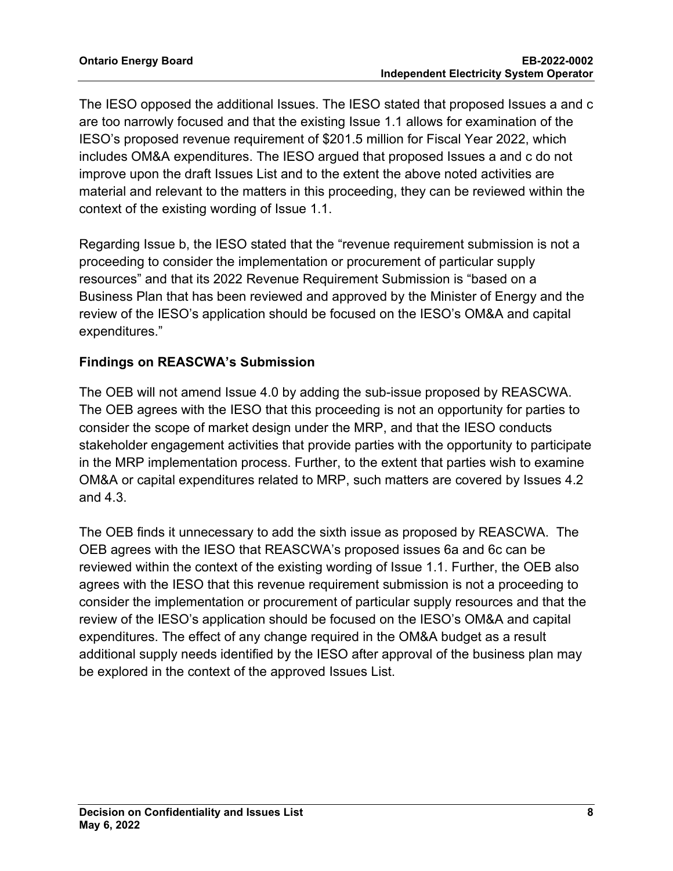The IESO opposed the additional Issues. The IESO stated that proposed Issues a and c are too narrowly focused and that the existing Issue 1.1 allows for examination of the IESO's proposed revenue requirement of \$201.5 million for Fiscal Year 2022, which includes OM&A expenditures. The IESO argued that proposed Issues a and c do not improve upon the draft Issues List and to the extent the above noted activities are material and relevant to the matters in this proceeding, they can be reviewed within the context of the existing wording of Issue 1.1.

Regarding Issue b, the IESO stated that the "revenue requirement submission is not a proceeding to consider the implementation or procurement of particular supply resources" and that its 2022 Revenue Requirement Submission is "based on a Business Plan that has been reviewed and approved by the Minister of Energy and the review of the IESO's application should be focused on the IESO's OM&A and capital expenditures."

#### **Findings on REASCWA's Submission**

The OEB will not amend Issue 4.0 by adding the sub-issue proposed by REASCWA. The OEB agrees with the IESO that this proceeding is not an opportunity for parties to consider the scope of market design under the MRP, and that the IESO conducts stakeholder engagement activities that provide parties with the opportunity to participate in the MRP implementation process. Further, to the extent that parties wish to examine OM&A or capital expenditures related to MRP, such matters are covered by Issues 4.2 and 4.3.

The OEB finds it unnecessary to add the sixth issue as proposed by REASCWA. The OEB agrees with the IESO that REASCWA's proposed issues 6a and 6c can be reviewed within the context of the existing wording of Issue 1.1. Further, the OEB also agrees with the IESO that this revenue requirement submission is not a proceeding to consider the implementation or procurement of particular supply resources and that the review of the IESO's application should be focused on the IESO's OM&A and capital expenditures. The effect of any change required in the OM&A budget as a result additional supply needs identified by the IESO after approval of the business plan may be explored in the context of the approved Issues List.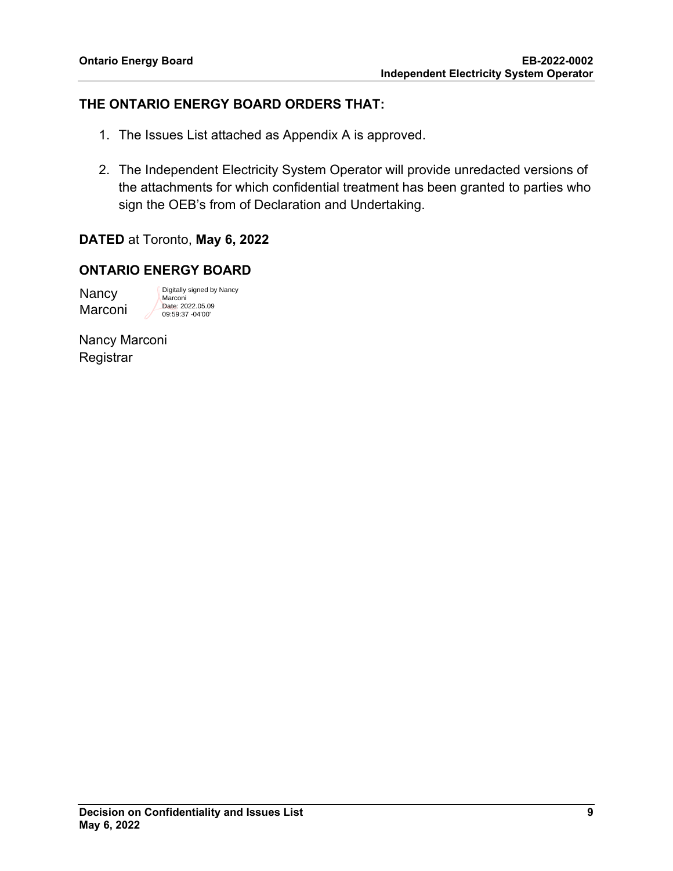#### **THE ONTARIO ENERGY BOARD ORDERS THAT:**

- 1. The Issues List attached as Appendix A is approved.
- 2. The Independent Electricity System Operator will provide unredacted versions of the attachments for which confidential treatment has been granted to parties who sign the OEB's from of Declaration and Undertaking.

**DATED** at Toronto, **May 6, 2022**

#### **ONTARIO ENERGY BOARD**

**Nancy** Marconi Digitally signed by Nancy Marconi Date: 2022.05.09 09:59:37 -04'00'

Nancy Marconi **Registrar**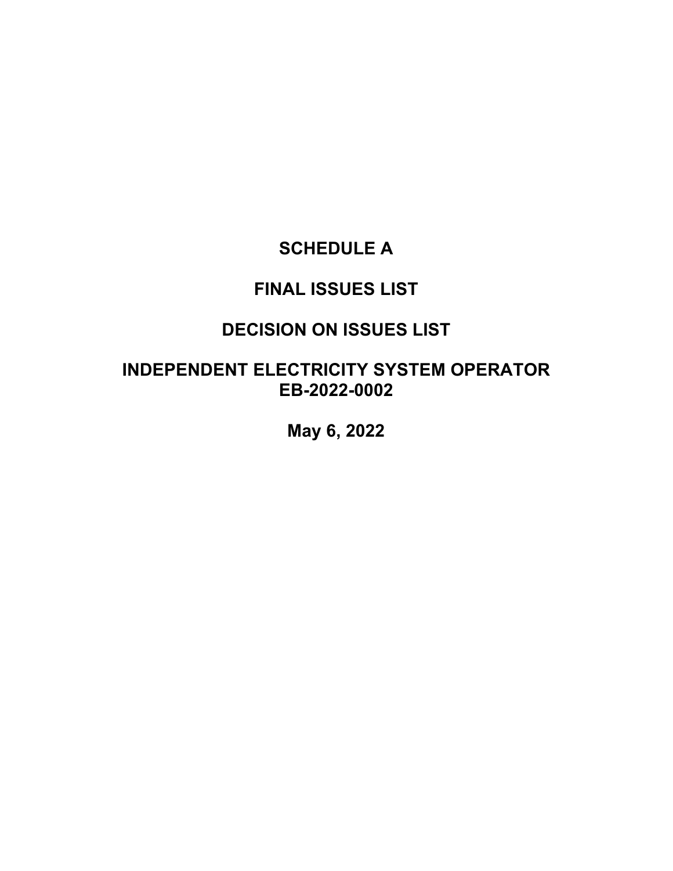# **SCHEDULE A**

# **FINAL ISSUES LIST**

# **DECISION ON ISSUES LIST**

# **INDEPENDENT ELECTRICITY SYSTEM OPERATOR EB-2022-0002**

**May 6, 2022**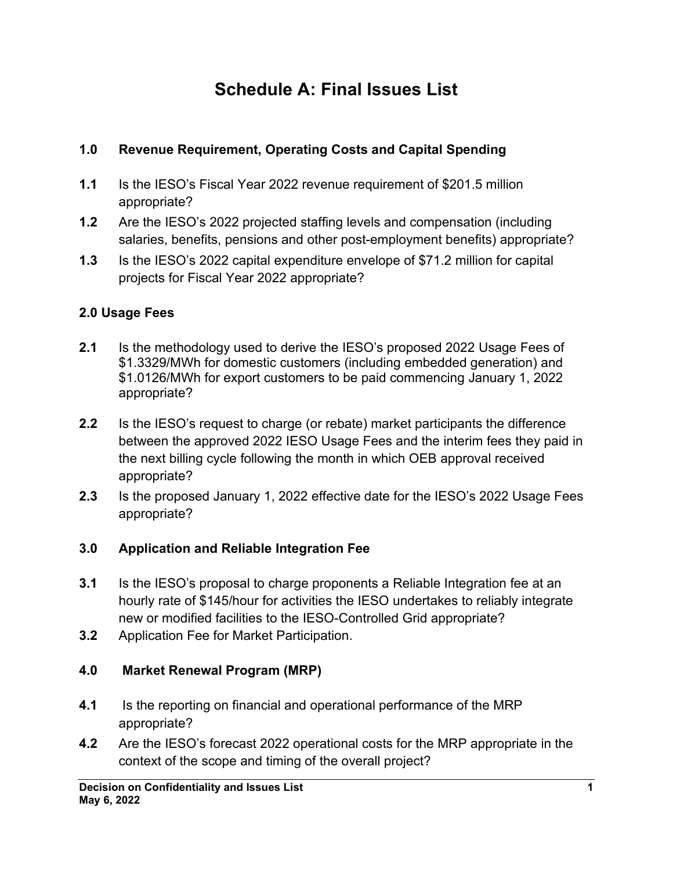# **Schedule A: Final Issues List**

# **1.0 Revenue Requirement, Operating Costs and Capital Spending**

- **1.1** Is the IESO's Fiscal Year 2022 revenue requirement of \$201.5 million appropriate?
- **1.2** Are the IESO's 2022 projected staffing levels and compensation (including salaries, benefits, pensions and other post-employment benefits) appropriate?
- **1.3** Is the IESO's 2022 capital expenditure envelope of \$71.2 million for capital projects for Fiscal Year 2022 appropriate?

# **2.0 Usage Fees**

- **2.1** Is the methodology used to derive the IESO's proposed 2022 Usage Fees of \$1.3329/MWh for domestic customers (including embedded generation) and \$1.0126/MWh for export customers to be paid commencing January 1, 2022 appropriate?
- **2.2** Is the IESO's request to charge (or rebate) market participants the difference between the approved 2022 IESO Usage Fees and the interim fees they paid in the next billing cycle following the month in which OEB approval received appropriate?
- **2.3** Is the proposed January 1, 2022 effective date for the IESO's 2022 Usage Fees appropriate?

# **3.0 Application and Reliable Integration Fee**

- **3.1** Is the IESO's proposal to charge proponents a Reliable Integration fee at an hourly rate of \$145/hour for activities the IESO undertakes to reliably integrate new or modified facilities to the IESO-Controlled Grid appropriate?
- **3.2** Application Fee for Market Participation.

# **4.0 Market Renewal Program (MRP)**

- **4.1** Is the reporting on financial and operational performance of the MRP appropriate?
- **4.2** Are the IESO's forecast 2022 operational costs for the MRP appropriate in the context of the scope and timing of the overall project?